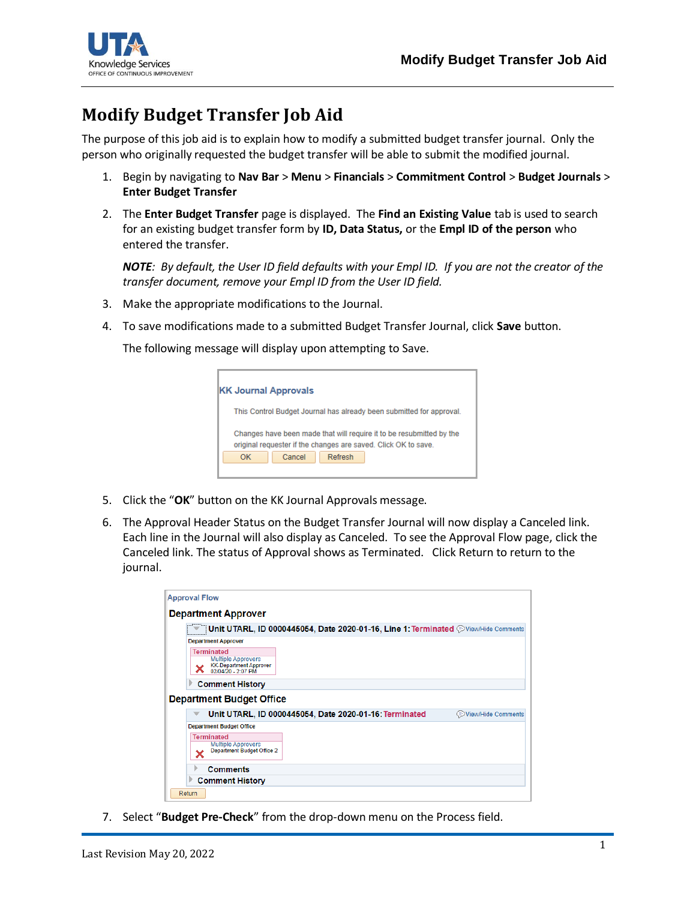

## **Modify Budget Transfer Job Aid**

The purpose of this job aid is to explain how to modify a submitted budget transfer journal. Only the person who originally requested the budget transfer will be able to submit the modified journal.

- 1. Begin by navigating to **Nav Bar** > **Menu** > **Financials** > **Commitment Control** > **Budget Journals** > **Enter Budget Transfer**
- 2. The **Enter Budget Transfer** page is displayed. The **Find an Existing Value** tab is used to search for an existing budget transfer form by **ID, Data Status,** or the **Empl ID of the person** who entered the transfer.

*NOTE: By default, the User ID field defaults with your Empl ID. If you are not the creator of the transfer document, remove your Empl ID from the User ID field.*

- 3. Make the appropriate modifications to the Journal.
- 4. To save modifications made to a submitted Budget Transfer Journal, click **Save** button.

The following message will display upon attempting to Save.

| <b>KK Journal Approvals</b>                                                                                                            |  |  |  |  |  |  |  |  |  |
|----------------------------------------------------------------------------------------------------------------------------------------|--|--|--|--|--|--|--|--|--|
| This Control Budget Journal has already been submitted for approval.                                                                   |  |  |  |  |  |  |  |  |  |
| Changes have been made that will require it to be resubmitted by the<br>original requester if the changes are saved. Click OK to save. |  |  |  |  |  |  |  |  |  |
| Cancel<br>OK<br>Refresh                                                                                                                |  |  |  |  |  |  |  |  |  |
|                                                                                                                                        |  |  |  |  |  |  |  |  |  |

- 5. Click the "**OK**" button on the KK Journal Approvals message.
- 6. The Approval Header Status on the Budget Transfer Journal will now display a Canceled link. Each line in the Journal will also display as Canceled. To see the Approval Flow page, click the Canceled link. The status of Approval shows as Terminated. Click Return to return to the journal.

| <b>Department Approver</b>                                                                     |                    |
|------------------------------------------------------------------------------------------------|--------------------|
|                                                                                                |                    |
| Unit UTARL, ID 0000445054, Date 2020-01-16, Line 1: Terminated @View/Hide Comments             |                    |
| <b>Department Approver</b>                                                                     |                    |
| <b>Terminated</b><br><b>Multiple Approvers</b><br>KK-Department Approver<br>02/04/20 - 2:07 PM |                    |
|                                                                                                |                    |
| <b>Comment History</b>                                                                         |                    |
| <b>Department Budget Office</b>                                                                |                    |
| Unit UTARL, ID 0000445054, Date 2020-01-16: Terminated                                         | View/Hide Comments |
| <b>Department Budget Office</b>                                                                |                    |
| <b>Terminated</b><br><b>Multiple Approvers</b><br>Department Budget Office 2                   |                    |
| <b>Comments</b>                                                                                |                    |

7. Select "**Budget Pre-Check**" from the drop-down menu on the Process field.